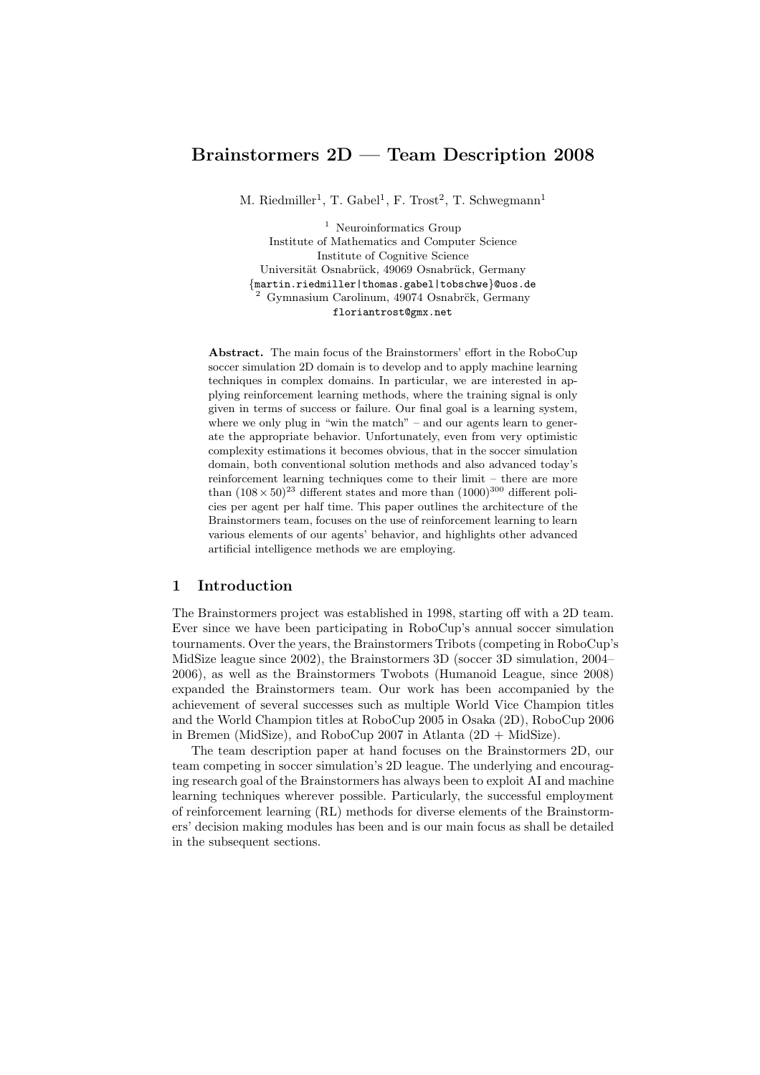# Brainstormers 2D — Team Description 2008

M. Riedmiller<sup>1</sup>, T. Gabel<sup>1</sup>, F. Trost<sup>2</sup>, T. Schwegmann<sup>1</sup>

<sup>1</sup> Neuroinformatics Group Institute of Mathematics and Computer Science Institute of Cognitive Science Universität Osnabrück, 49069 Osnabrück, Germany {martin.riedmiller|thomas.gabel|tobschwe}@uos.de  $2$  Gymnasium Carolinum, 49074 Osnabr $\ddot{\text{c}}$ k, Germany floriantrost@gmx.net

Abstract. The main focus of the Brainstormers' effort in the RoboCup soccer simulation 2D domain is to develop and to apply machine learning techniques in complex domains. In particular, we are interested in applying reinforcement learning methods, where the training signal is only given in terms of success or failure. Our final goal is a learning system, where we only plug in "win the match" – and our agents learn to generate the appropriate behavior. Unfortunately, even from very optimistic complexity estimations it becomes obvious, that in the soccer simulation domain, both conventional solution methods and also advanced today's reinforcement learning techniques come to their limit – there are more than  $(108 \times 50)^{23}$  different states and more than  $(1000)^{300}$  different policies per agent per half time. This paper outlines the architecture of the Brainstormers team, focuses on the use of reinforcement learning to learn various elements of our agents' behavior, and highlights other advanced artificial intelligence methods we are employing.

## 1 Introduction

The Brainstormers project was established in 1998, starting off with a 2D team. Ever since we have been participating in RoboCup's annual soccer simulation tournaments. Over the years, the Brainstormers Tribots (competing in RoboCup's MidSize league since 2002), the Brainstormers 3D (soccer 3D simulation, 2004– 2006), as well as the Brainstormers Twobots (Humanoid League, since 2008) expanded the Brainstormers team. Our work has been accompanied by the achievement of several successes such as multiple World Vice Champion titles and the World Champion titles at RoboCup 2005 in Osaka (2D), RoboCup 2006 in Bremen (MidSize), and RoboCup 2007 in Atlanta  $(2D + MidSize)$ .

The team description paper at hand focuses on the Brainstormers 2D, our team competing in soccer simulation's 2D league. The underlying and encouraging research goal of the Brainstormers has always been to exploit AI and machine learning techniques wherever possible. Particularly, the successful employment of reinforcement learning (RL) methods for diverse elements of the Brainstormers' decision making modules has been and is our main focus as shall be detailed in the subsequent sections.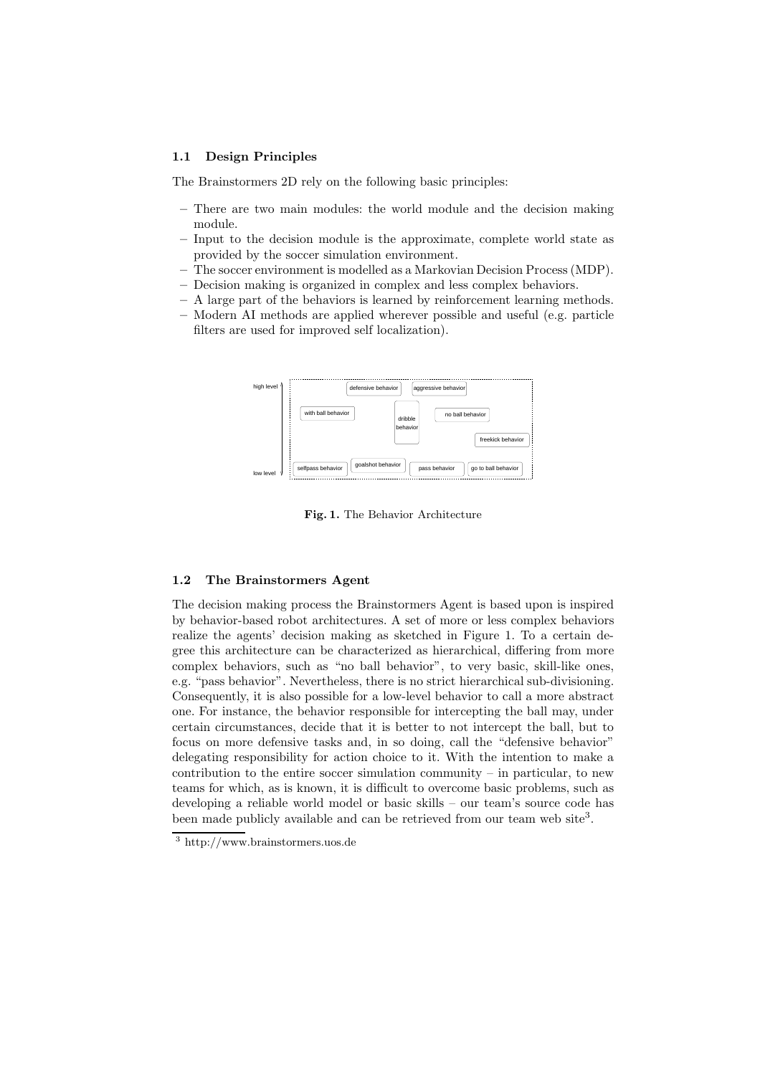#### 1.1 Design Principles

The Brainstormers 2D rely on the following basic principles:

- There are two main modules: the world module and the decision making module.
- Input to the decision module is the approximate, complete world state as provided by the soccer simulation environment.
- The soccer environment is modelled as a Markovian Decision Process (MDP).
- Decision making is organized in complex and less complex behaviors.
- A large part of the behaviors is learned by reinforcement learning methods.
- Modern AI methods are applied wherever possible and useful (e.g. particle filters are used for improved self localization).



Fig. 1. The Behavior Architecture

#### 1.2 The Brainstormers Agent

The decision making process the Brainstormers Agent is based upon is inspired by behavior-based robot architectures. A set of more or less complex behaviors realize the agents' decision making as sketched in Figure 1. To a certain degree this architecture can be characterized as hierarchical, differing from more complex behaviors, such as "no ball behavior", to very basic, skill-like ones, e.g. "pass behavior". Nevertheless, there is no strict hierarchical sub-divisioning. Consequently, it is also possible for a low-level behavior to call a more abstract one. For instance, the behavior responsible for intercepting the ball may, under certain circumstances, decide that it is better to not intercept the ball, but to focus on more defensive tasks and, in so doing, call the "defensive behavior" delegating responsibility for action choice to it. With the intention to make a contribution to the entire soccer simulation community  $-$  in particular, to new teams for which, as is known, it is difficult to overcome basic problems, such as developing a reliable world model or basic skills – our team's source code has been made publicly available and can be retrieved from our team web site<sup>3</sup>.

<sup>3</sup> http://www.brainstormers.uos.de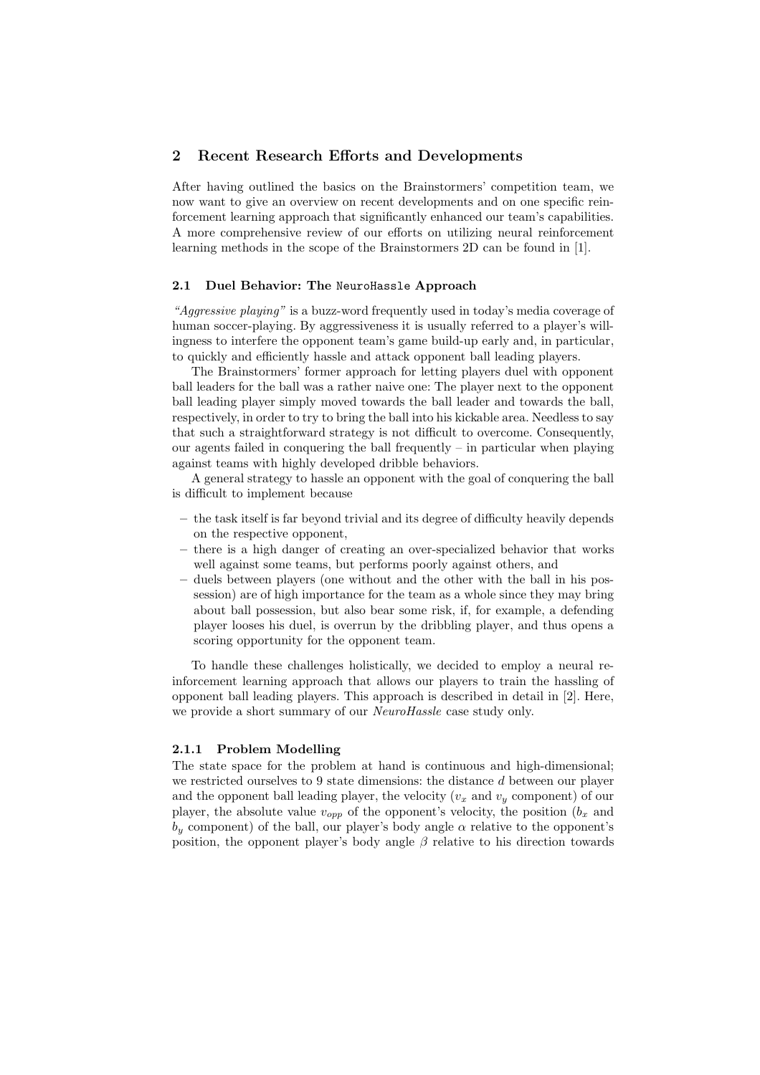### 2 Recent Research Efforts and Developments

After having outlined the basics on the Brainstormers' competition team, we now want to give an overview on recent developments and on one specific reinforcement learning approach that significantly enhanced our team's capabilities. A more comprehensive review of our efforts on utilizing neural reinforcement learning methods in the scope of the Brainstormers 2D can be found in [1].

#### 2.1 Duel Behavior: The NeuroHassle Approach

"Aggressive playing" is a buzz-word frequently used in today's media coverage of human soccer-playing. By aggressiveness it is usually referred to a player's willingness to interfere the opponent team's game build-up early and, in particular, to quickly and efficiently hassle and attack opponent ball leading players.

The Brainstormers' former approach for letting players duel with opponent ball leaders for the ball was a rather naive one: The player next to the opponent ball leading player simply moved towards the ball leader and towards the ball, respectively, in order to try to bring the ball into his kickable area. Needless to say that such a straightforward strategy is not difficult to overcome. Consequently, our agents failed in conquering the ball frequently – in particular when playing against teams with highly developed dribble behaviors.

A general strategy to hassle an opponent with the goal of conquering the ball is difficult to implement because

- the task itself is far beyond trivial and its degree of difficulty heavily depends on the respective opponent,
- there is a high danger of creating an over-specialized behavior that works well against some teams, but performs poorly against others, and
- duels between players (one without and the other with the ball in his possession) are of high importance for the team as a whole since they may bring about ball possession, but also bear some risk, if, for example, a defending player looses his duel, is overrun by the dribbling player, and thus opens a scoring opportunity for the opponent team.

To handle these challenges holistically, we decided to employ a neural reinforcement learning approach that allows our players to train the hassling of opponent ball leading players. This approach is described in detail in [2]. Here, we provide a short summary of our *NeuroHassle* case study only.

#### 2.1.1 Problem Modelling

The state space for the problem at hand is continuous and high-dimensional; we restricted ourselves to 9 state dimensions: the distance d between our player and the opponent ball leading player, the velocity  $(v_x$  and  $v_y$  component) of our player, the absolute value  $v_{opp}$  of the opponent's velocity, the position  $(b_x \text{ and } b_y \text{)}$  $b_y$  component) of the ball, our player's body angle  $\alpha$  relative to the opponent's position, the opponent player's body angle  $\beta$  relative to his direction towards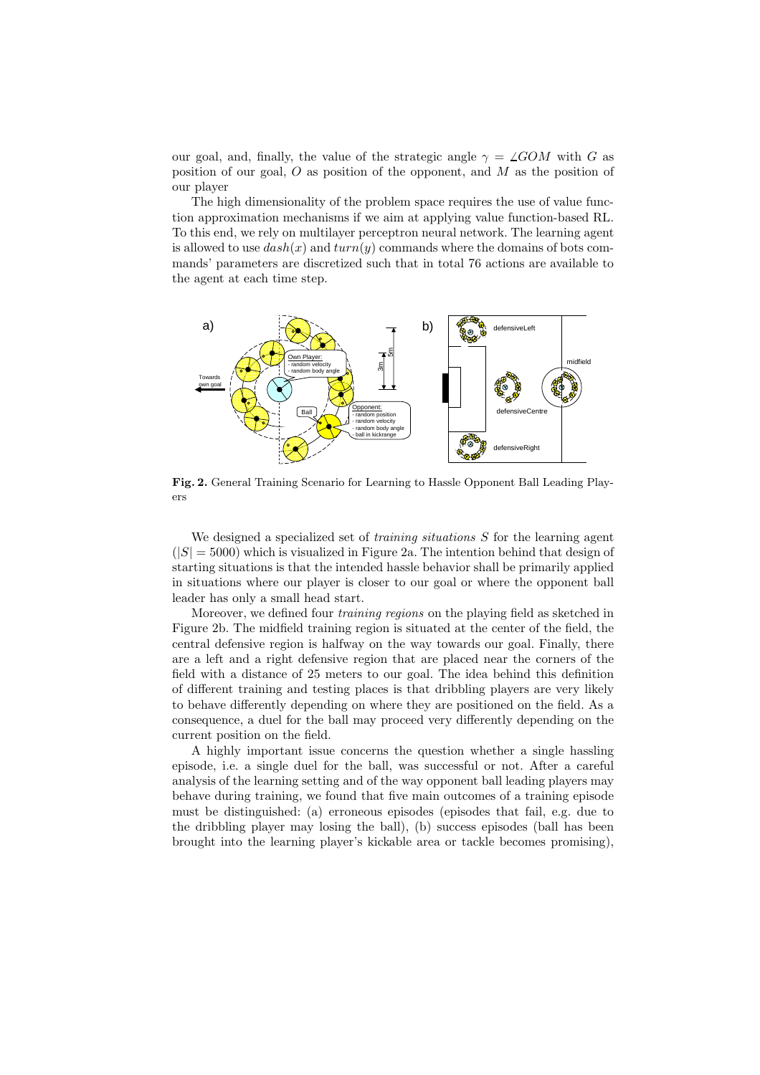our goal, and, finally, the value of the strategic angle  $\gamma = \angle GOM$  with G as position of our goal,  $O$  as position of the opponent, and  $M$  as the position of our player

The high dimensionality of the problem space requires the use of value function approximation mechanisms if we aim at applying value function-based RL. To this end, we rely on multilayer perceptron neural network. The learning agent is allowed to use  $dash(x)$  and  $turn(y)$  commands where the domains of bots commands' parameters are discretized such that in total 76 actions are available to the agent at each time step.



Fig. 2. General Training Scenario for Learning to Hassle Opponent Ball Leading Players

We designed a specialized set of *training situations* S for the learning agent  $(|S| = 5000)$  which is visualized in Figure 2a. The intention behind that design of starting situations is that the intended hassle behavior shall be primarily applied in situations where our player is closer to our goal or where the opponent ball leader has only a small head start.

Moreover, we defined four training regions on the playing field as sketched in Figure 2b. The midfield training region is situated at the center of the field, the central defensive region is halfway on the way towards our goal. Finally, there are a left and a right defensive region that are placed near the corners of the field with a distance of 25 meters to our goal. The idea behind this definition of different training and testing places is that dribbling players are very likely to behave differently depending on where they are positioned on the field. As a consequence, a duel for the ball may proceed very differently depending on the current position on the field.

A highly important issue concerns the question whether a single hassling episode, i.e. a single duel for the ball, was successful or not. After a careful analysis of the learning setting and of the way opponent ball leading players may behave during training, we found that five main outcomes of a training episode must be distinguished: (a) erroneous episodes (episodes that fail, e.g. due to the dribbling player may losing the ball), (b) success episodes (ball has been brought into the learning player's kickable area or tackle becomes promising),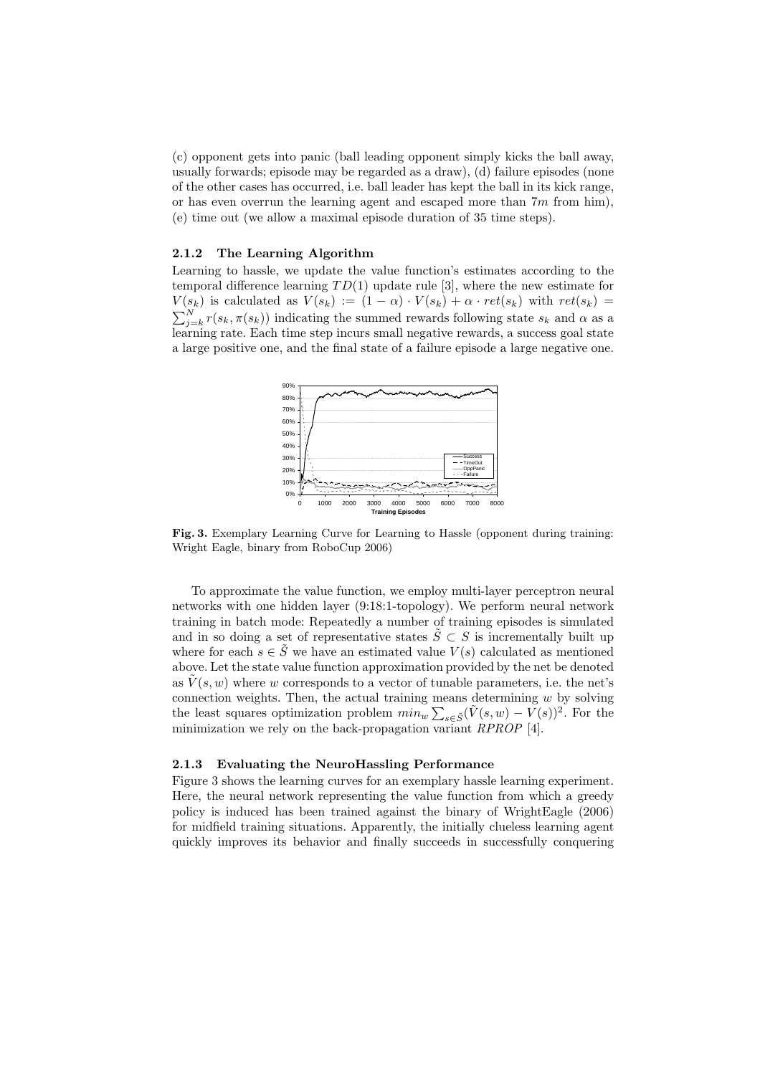(c) opponent gets into panic (ball leading opponent simply kicks the ball away, usually forwards; episode may be regarded as a draw), (d) failure episodes (none of the other cases has occurred, i.e. ball leader has kept the ball in its kick range, or has even overrun the learning agent and escaped more than  $7m$  from him), (e) time out (we allow a maximal episode duration of 35 time steps).

## 2.1.2 The Learning Algorithm

Learning to hassle, we update the value function's estimates according to the temporal difference learning  $TD(1)$  update rule [3], where the new estimate for  $V(s_k)$  is calculated as  $V(s_k) := (1 - \alpha) \cdot V(s_k) + \alpha \cdot ret(s_k)$  with  $ret(s_k)$  $\sum_{j=k}^{N} r(s_k, \pi(s_k))$  indicating the summed rewards following state  $s_k$  and  $\alpha$  as a learning rate. Each time step incurs small negative rewards, a success goal state a large positive one, and the final state of a failure episode a large negative one.



Fig. 3. Exemplary Learning Curve for Learning to Hassle (opponent during training: Wright Eagle, binary from RoboCup 2006)

To approximate the value function, we employ multi-layer perceptron neural networks with one hidden layer (9:18:1-topology). We perform neural network training in batch mode: Repeatedly a number of training episodes is simulated and in so doing a set of representative states  $\tilde{S} \subset S$  is incrementally built up where for each  $s \in \tilde{S}$  we have an estimated value  $V(s)$  calculated as mentioned above. Let the state value function approximation provided by the net be denoted as  $\tilde{V}(s, w)$  where w corresponds to a vector of tunable parameters, i.e. the net's connection weights. Then, the actual training means determining  $w$  by solving the least squares optimization problem  $min_w \sum_{s \in \tilde{S}} (\tilde{V}(s, w) - \tilde{V}(s))^2$ . For the minimization we rely on the back-propagation variant  $RPROP$  [4].

#### 2.1.3 Evaluating the NeuroHassling Performance

Figure 3 shows the learning curves for an exemplary hassle learning experiment. Here, the neural network representing the value function from which a greedy policy is induced has been trained against the binary of WrightEagle (2006) for midfield training situations. Apparently, the initially clueless learning agent quickly improves its behavior and finally succeeds in successfully conquering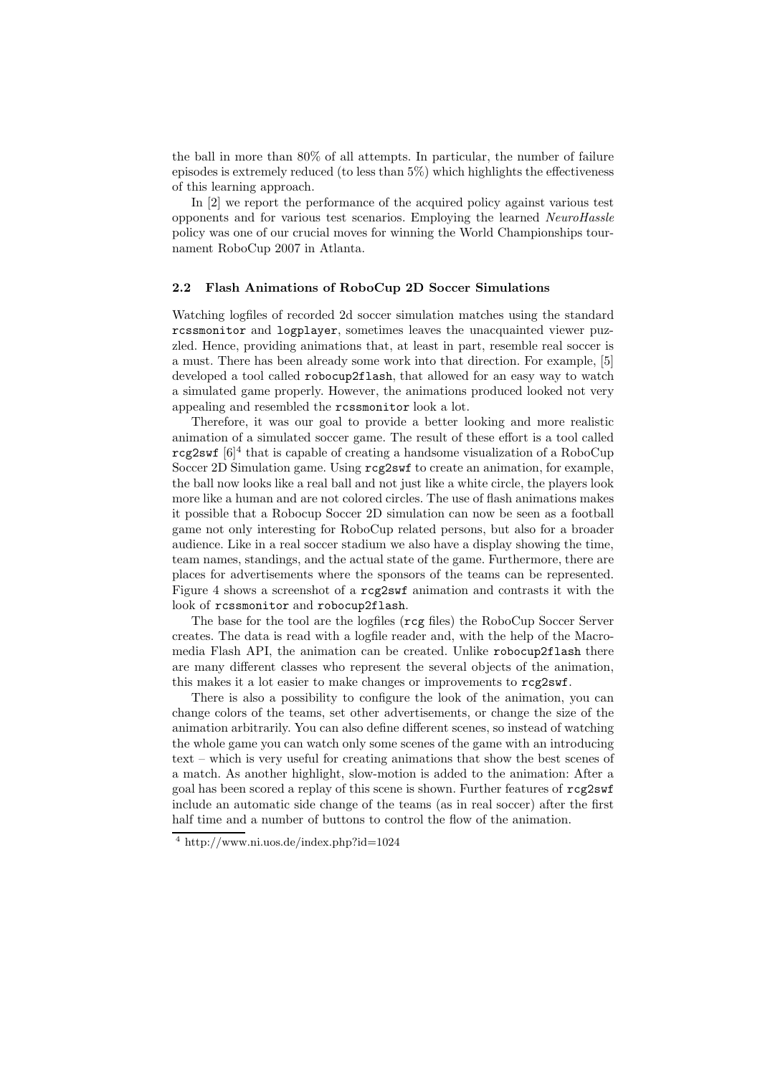the ball in more than 80% of all attempts. In particular, the number of failure episodes is extremely reduced (to less than 5%) which highlights the effectiveness of this learning approach.

In [2] we report the performance of the acquired policy against various test opponents and for various test scenarios. Employing the learned NeuroHassle policy was one of our crucial moves for winning the World Championships tournament RoboCup 2007 in Atlanta.

## 2.2 Flash Animations of RoboCup 2D Soccer Simulations

Watching logfiles of recorded 2d soccer simulation matches using the standard rcssmonitor and logplayer, sometimes leaves the unacquainted viewer puzzled. Hence, providing animations that, at least in part, resemble real soccer is a must. There has been already some work into that direction. For example, [5] developed a tool called robocup2flash, that allowed for an easy way to watch a simulated game properly. However, the animations produced looked not very appealing and resembled the rcssmonitor look a lot.

Therefore, it was our goal to provide a better looking and more realistic animation of a simulated soccer game. The result of these effort is a tool called  $r$ cg2swf  $[6]^4$  that is capable of creating a handsome visualization of a RoboCup Soccer 2D Simulation game. Using rcg2swf to create an animation, for example, the ball now looks like a real ball and not just like a white circle, the players look more like a human and are not colored circles. The use of flash animations makes it possible that a Robocup Soccer 2D simulation can now be seen as a football game not only interesting for RoboCup related persons, but also for a broader audience. Like in a real soccer stadium we also have a display showing the time, team names, standings, and the actual state of the game. Furthermore, there are places for advertisements where the sponsors of the teams can be represented. Figure 4 shows a screenshot of a rcg2swf animation and contrasts it with the look of rcssmonitor and robocup2flash.

The base for the tool are the logfiles (rcg files) the RoboCup Soccer Server creates. The data is read with a logfile reader and, with the help of the Macromedia Flash API, the animation can be created. Unlike robocup2flash there are many different classes who represent the several objects of the animation, this makes it a lot easier to make changes or improvements to rcg2swf.

There is also a possibility to configure the look of the animation, you can change colors of the teams, set other advertisements, or change the size of the animation arbitrarily. You can also define different scenes, so instead of watching the whole game you can watch only some scenes of the game with an introducing text – which is very useful for creating animations that show the best scenes of a match. As another highlight, slow-motion is added to the animation: After a goal has been scored a replay of this scene is shown. Further features of rcg2swf include an automatic side change of the teams (as in real soccer) after the first half time and a number of buttons to control the flow of the animation.

<sup>4</sup> http://www.ni.uos.de/index.php?id=1024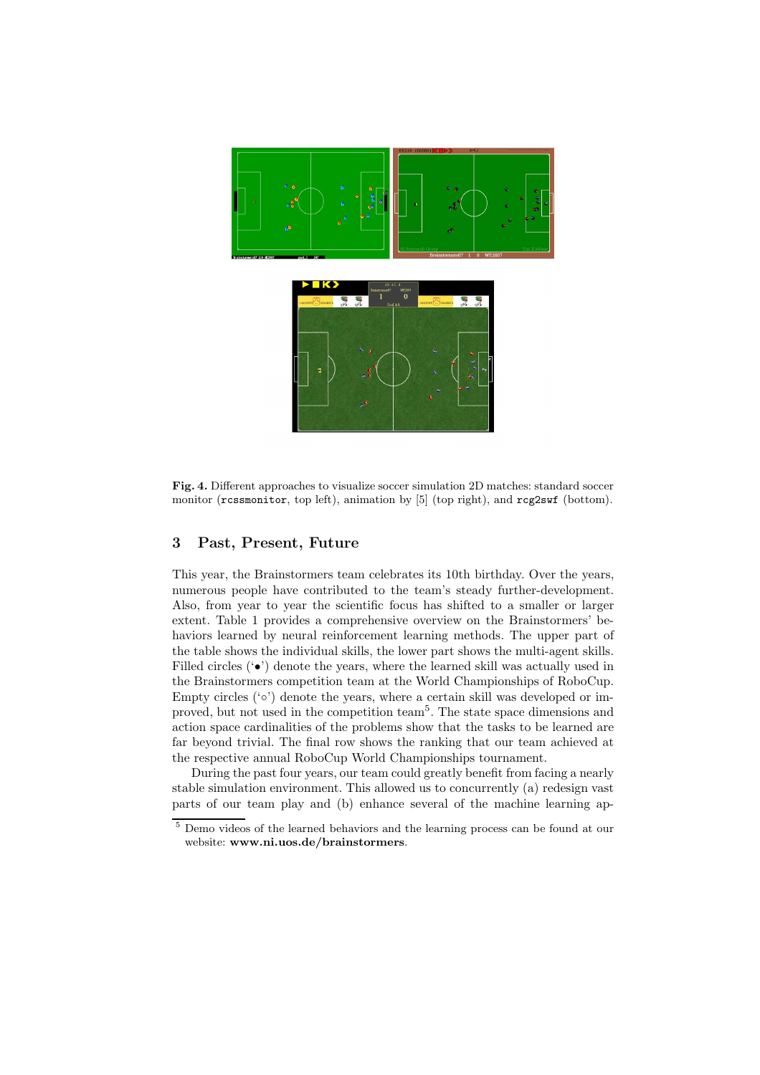

Fig. 4. Different approaches to visualize soccer simulation 2D matches: standard soccer monitor (rcssmonitor, top left), animation by [5] (top right), and rcg2swf (bottom).

## 3 Past, Present, Future

This year, the Brainstormers team celebrates its 10th birthday. Over the years, numerous people have contributed to the team's steady further-development. Also, from year to year the scientific focus has shifted to a smaller or larger extent. Table 1 provides a comprehensive overview on the Brainstormers' behaviors learned by neural reinforcement learning methods. The upper part of the table shows the individual skills, the lower part shows the multi-agent skills. Filled circles  $(\bullet)$  denote the years, where the learned skill was actually used in the Brainstormers competition team at the World Championships of RoboCup. Empty circles ('◦') denote the years, where a certain skill was developed or improved, but not used in the competition team<sup>5</sup> . The state space dimensions and action space cardinalities of the problems show that the tasks to be learned are far beyond trivial. The final row shows the ranking that our team achieved at the respective annual RoboCup World Championships tournament.

During the past four years, our team could greatly benefit from facing a nearly stable simulation environment. This allowed us to concurrently (a) redesign vast parts of our team play and (b) enhance several of the machine learning ap-

<sup>5</sup> Demo videos of the learned behaviors and the learning process can be found at our website: www.ni.uos.de/brainstormers.